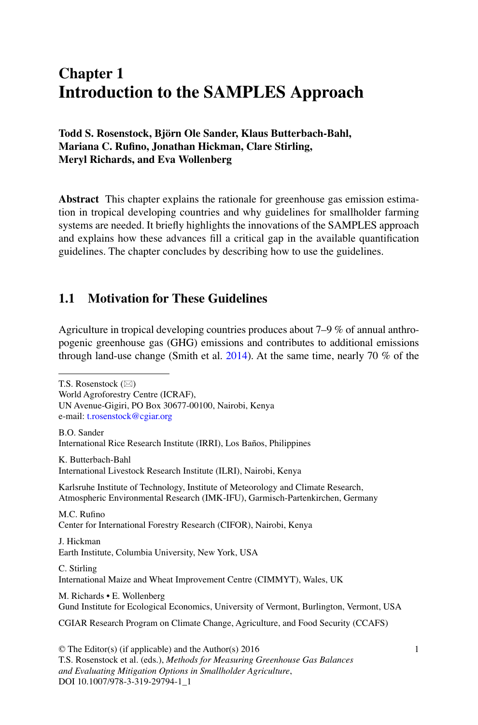# **Chapter 1 Introduction to the SAMPLES Approach**

Todd S. Rosenstock, Björn Ole Sander, Klaus Butterbach-Bahl, **Mariana C. Rufino, Jonathan Hickman, Clare Stirling, Meryl Richards , and Eva Wollenberg** 

 **Abstract** This chapter explains the rationale for greenhouse gas emission estimation in tropical developing countries and why guidelines for smallholder farming systems are needed. It briefly highlights the innovations of the SAMPLES approach and explains how these advances fill a critical gap in the available quantification guidelines. The chapter concludes by describing how to use the guidelines.

# **1.1 Motivation for These Guidelines**

 Agriculture in tropical developing countries produces about 7–9 % of annual anthropogenic greenhouse gas (GHG) emissions and contributes to additional emissions through land-use change (Smith et al.  $2014$ ). At the same time, nearly 70 % of the

© The Editor(s) (if applicable) and the Author(s) 2016 1 T.S. Rosenstock  $(\boxtimes)$ World Agroforestry Centre (ICRAF), UN Avenue-Gigiri, PO Box 30677-00100, Nairobi, Kenya e-mail: [t.rosenstock@cgiar.org](mailto:t.rosenstock@cgiar.org) B. O. Sander International Rice Research Institute (IRRI), Los Baños, Philippines K. Butterbach-Bahl International Livestock Research Institute (ILRI), Nairobi, Kenya Karlsruhe Institute of Technology, Institute of Meteorology and Climate Research, Atmospheric Environmental Research (IMK-IFU) , Garmisch-Partenkirchen , Germany M.C. Rufino Center for International Forestry Research (CIFOR), Nairobi, Kenya J. Hickman Earth Institute, Columbia University, New York, USA C. Stirling International Maize and Wheat Improvement Centre (CIMMYT), Wales, UK M. Richards • E. Wollenberg Gund Institute for Ecological Economics, University of Vermont, Burlington, Vermont, USA CGIAR Research Program on Climate Change, Agriculture, and Food Security (CCAFS)

T.S. Rosenstock et al. (eds.), *Methods for Measuring Greenhouse Gas Balances and Evaluating Mitigation Options in Smallholder Agriculture*, DOI 10.1007/978-3-319-29794-1\_1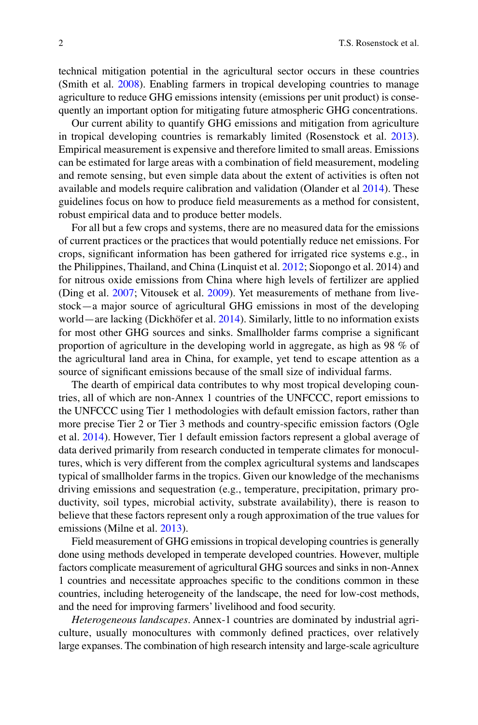technical mitigation potential in the agricultural sector occurs in these countries (Smith et al. [2008](#page-12-1)). Enabling farmers in tropical developing countries to manage agriculture to reduce GHG emissions intensity (emissions per unit product) is consequently an important option for mitigating future atmospheric GHG concentrations.

 Our current ability to quantify GHG emissions and mitigation from agriculture in tropical developing countries is remarkably limited (Rosenstock et al. 2013). Empirical measurement is expensive and therefore limited to small areas. Emissions can be estimated for large areas with a combination of field measurement, modeling and remote sensing, but even simple data about the extent of activities is often not available and models require calibration and validation (Olander et al 2014). These guidelines focus on how to produce field measurements as a method for consistent, robust empirical data and to produce better models.

 For all but a few crops and systems, there are no measured data for the emissions of current practices or the practices that would potentially reduce net emissions. For crops, significant information has been gathered for irrigated rice systems  $e.g.,$  in the Philippines, Thailand, and China (Linquist et al. 2012; Siopongo et al. 2014) and for nitrous oxide emissions from China where high levels of fertilizer are applied (Ding et al. [2007](#page-11-2); Vitousek et al. 2009). Yet measurements of methane from livestock—a major source of agricultural GHG emissions in most of the developing world—are lacking (Dickhöfer et al. 2014). Similarly, little to no information exists for most other GHG sources and sinks. Smallholder farms comprise a significant proportion of agriculture in the developing world in aggregate, as high as 98 % of the agricultural land area in China, for example, yet tend to escape attention as a source of significant emissions because of the small size of individual farms.

 The dearth of empirical data contributes to why most tropical developing countries, all of which are non-Annex 1 countries of the UNFCCC, report emissions to the UNFCCC using Tier 1 methodologies with default emission factors , rather than more precise Tier 2 or Tier 3 methods and country-specific emission factors (Ogle et al. [2014 \)](#page-11-4). However, Tier 1 default emission factors represent a global average of data derived primarily from research conducted in temperate climates for monocultures, which is very different from the complex agricultural systems and landscapes typical of smallholder farms in the tropics. Given our knowledge of the mechanisms driving emissions and sequestration (e.g., temperature, precipitation, primary productivity, soil types, microbial activity, substrate availability), there is reason to believe that these factors represent only a rough approximation of the true values for emissions (Milne et al. [2013](#page-11-5)).

 Field measurement of GHG emissions in tropical developing countries is generally done using methods developed in temperate developed countries. However, multiple factors complicate measurement of agricultural GHG sources and sinks in non-Annex 1 countries and necessitate approaches specifi c to the conditions common in these countries, including heterogeneity of the landscape, the need for low-cost methods, and the need for improving farmers' livelihood and food security.

*Heterogeneous landscapes* . Annex-1 countries are dominated by industrial agriculture, usually monocultures with commonly defined practices, over relatively large expanses. The combination of high research intensity and large-scale agriculture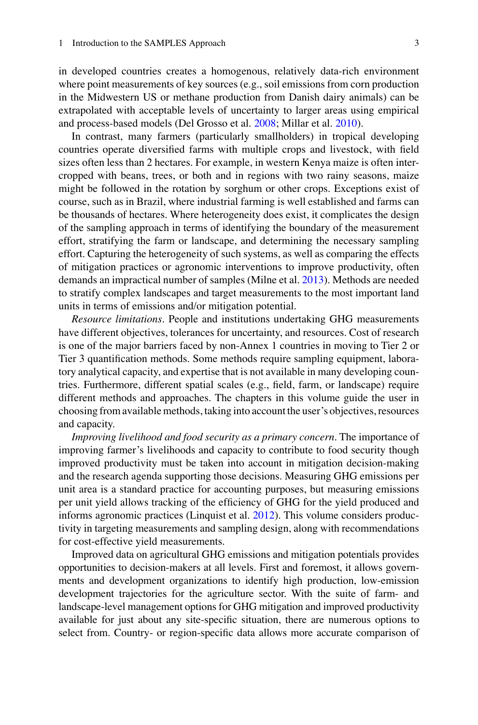in developed countries creates a homogenous, relatively data-rich environment where point measurements of key sources (e.g., soil emissions from corn production in the Midwestern US or methane production from Danish dairy animals) can be extrapolated with acceptable levels of uncertainty to larger areas using empirical and process-based models (Del Grosso et al. 2008; Millar et al. 2010).

 In contrast, many farmers (particularly smallholders) in tropical developing countries operate diversified farms with multiple crops and livestock, with field sizes often less than 2 hectares. For example, in western Kenya maize is often intercropped with beans, trees, or both and in regions with two rainy seasons, maize might be followed in the rotation by sorghum or other crops. Exceptions exist of course, such as in Brazil, where industrial farming is well established and farms can be thousands of hectares. Where heterogeneity does exist, it complicates the design of the sampling approach in terms of identifying the boundary of the measurement effort, stratifying the farm or landscape, and determining the necessary sampling effort. Capturing the heterogeneity of such systems, as well as comparing the effects of mitigation practices or agronomic interventions to improve productivity, often demands an impractical number of samples (Milne et al. [2013 \)](#page-11-5). Methods are needed to stratify complex landscapes and target measurements to the most important land units in terms of emissions and/or mitigation potential.

*Resource limitations* . People and institutions undertaking GHG measurements have different objectives, tolerances for uncertainty, and resources. Cost of research is one of the major barriers faced by non-Annex 1 countries in moving to Tier 2 or Tier 3 quantification methods. Some methods require sampling equipment, laboratory analytical capacity, and expertise that is not available in many developing countries. Furthermore, different spatial scales (e.g., field, farm, or landscape) require different methods and approaches. The chapters in this volume guide the user in choosing from available methods, taking into account the user's objectives, resources and capacity.

*Improving livelihood and food security as a primary concern* . The importance of improving farmer's livelihoods and capacity to contribute to food security though improved productivity must be taken into account in mitigation decision-making and the research agenda supporting those decisions. Measuring GHG emissions per unit area is a standard practice for accounting purposes, but measuring emissions per unit yield allows tracking of the efficiency of GHG for the yield produced and informs agronomic practices (Linquist et al.  $2012$ ). This volume considers productivity in targeting measurements and sampling design, along with recommendations for cost-effective yield measurements.

 Improved data on agricultural GHG emissions and mitigation potentials provides opportunities to decision-makers at all levels. First and foremost, it allows governments and development organizations to identify high production, low-emission development trajectories for the agriculture sector. With the suite of farm- and landscape- level management options for GHG mitigation and improved productivity available for just about any site-specific situation, there are numerous options to select from. Country- or region-specific data allows more accurate comparison of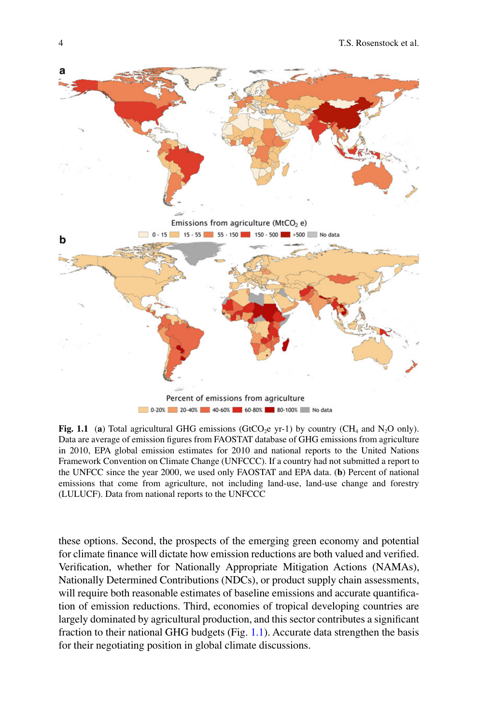<span id="page-3-0"></span>

**Fig. 1.1** (a) Total agricultural GHG emissions (GtCO<sub>2</sub>e yr-1) by country (CH<sub>4</sub> and N<sub>2</sub>O only). Data are average of emission figures from FAOSTAT database of GHG emissions from agriculture in 2010, EPA global emission estimates for 2010 and national reports to the United Nations Framework Convention on Climate Change (UNFCCC). If a country had not submitted a report to the UNFCC since the year 2000, we used only FAOSTAT and EPA data. (b) Percent of national emissions that come from agriculture, not including land-use, land-use change and forestry (LULUCF). Data from national reports to the UNFCCC

these options. Second, the prospects of the emerging green economy and potential for climate finance will dictate how emission reductions are both valued and verified. Verification, whether for Nationally Appropriate Mitigation Actions (NAMAs), Nationally Determined Contributions (NDCs), or product supply chain assessments, will require both reasonable estimates of baseline emissions and accurate quantification of emission reductions. Third, economies of tropical developing countries are largely dominated by agricultural production, and this sector contributes a significant fraction to their national GHG budgets (Fig.  $1.1$ ). Accurate data strengthen the basis for their negotiating position in global climate discussions.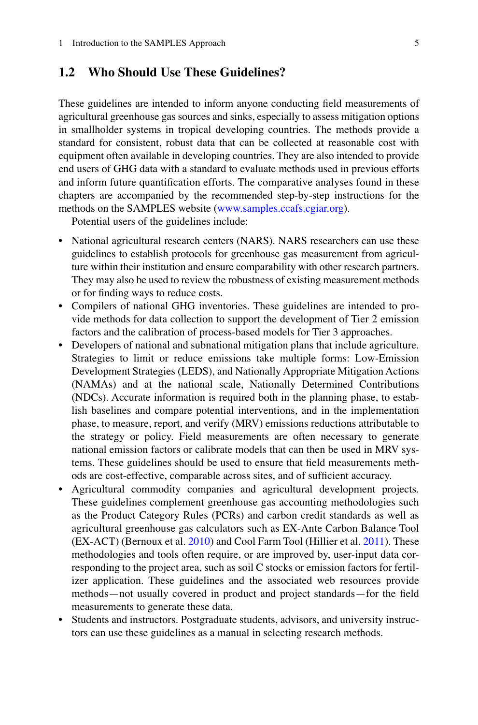# **1.2 Who Should Use These Guidelines?**

These guidelines are intended to inform anyone conducting field measurements of agricultural greenhouse gas sources and sinks, especially to assess mitigation options in smallholder systems in tropical developing countries. The methods provide a standard for consistent, robust data that can be collected at reasonable cost with equipment often available in developing countries. They are also intended to provide end users of GHG data with a standard to evaluate methods used in previous efforts and inform future quantification efforts. The comparative analyses found in these chapters are accompanied by the recommended step-by-step instructions for the methods on the SAMPLES website ([www.samples.ccafs.cgiar.org](http://www.samples.ccafs.cgiar.org/)).

Potential users of the guidelines include:

- National agricultural research centers (NARS). NARS researchers can use these guidelines to establish protocols for greenhouse gas measurement from agriculture within their institution and ensure comparability with other research partners. They may also be used to review the robustness of existing measurement methods or for finding ways to reduce costs.
- Compilers of national GHG inventories . These guidelines are intended to provide methods for data collection to support the development of Tier 2 emission factors and the calibration of process-based models for Tier 3 approaches.
- Developers of national and subnational mitigation plans that include agriculture. Strategies to limit or reduce emissions take multiple forms: Low-Emission Development Strategies (LEDS) , and Nationally Appropriate Mitigation Actions (NAMAs) and at the national scale, Nationally Determined Contributions (NDCs). Accurate information is required both in the planning phase, to establish baselines and compare potential interventions, and in the implementation phase, to measure, report, and verify (MRV) emissions reductions attributable to the strategy or policy. Field measurements are often necessary to generate national emission factors or calibrate models that can then be used in MRV systems. These guidelines should be used to ensure that field measurements methods are cost-effective, comparable across sites, and of sufficient accuracy.
- Agricultural commodity companies and agricultural development projects. These guidelines complement greenhouse gas accounting methodologies such as the Product Category Rules ( PCRs ) and carbon credit standards as well as agricultural greenhouse gas calculators such as EX-Ante Carbon Balance Tool (EX-ACT) (Bernoux et al. [2010](#page-11-8)) and Cool Farm Tool (Hillier et al. 2011). These methodologies and tools often require, or are improved by, user-input data corresponding to the project area, such as soil C stocks or emission factors for fertilizer application. These guidelines and the associated web resources provide methods—not usually covered in product and project standards—for the field measurements to generate these data.
- Students and instructors . Postgraduate students, advisors, and university instructors can use these guidelines as a manual in selecting research methods.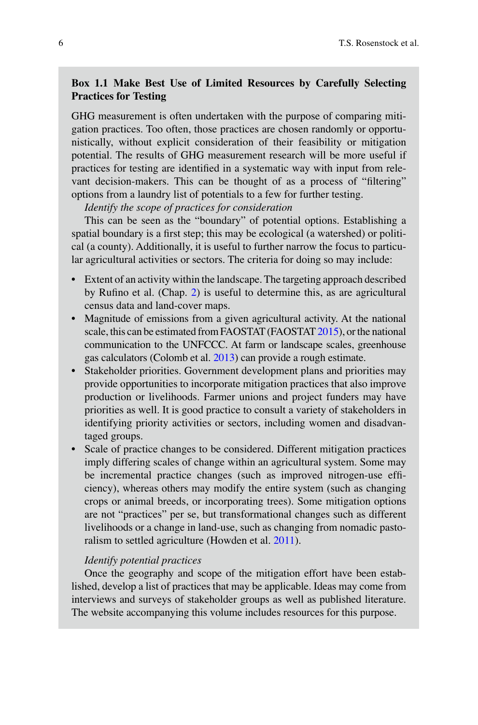## **Box 1.1 Make Best Use of Limited Resources by Carefully Selecting Practices for Testing**

 GHG measurement is often undertaken with the purpose of comparing mitigation practices. Too often, those practices are chosen randomly or opportunistically, without explicit consideration of their feasibility or mitigation potential. The results of GHG measurement research will be more useful if practices for testing are identified in a systematic way with input from relevant decision-makers. This can be thought of as a process of "filtering" options from a laundry list of potentials to a few for further testing.

*Identify the scope of practices for consideration*

 This can be seen as the "boundary" of potential options. Establishing a spatial boundary is a first step; this may be ecological (a watershed) or political (a county). Additionally, it is useful to further narrow the focus to particular agricultural activities or sectors. The criteria for doing so may include:

- Extent of an activity within the landscape. The targeting approach described by Rufino et al. (Chap. [2\)](http://dx.doi.org/10.1007/978-3-319-29794-1_2) is useful to determine this, as are agricultural census data and land-cover maps.
- Magnitude of emissions from a given agricultural activity. At the national scale, this can be estimated from FAOSTAT (FAOSTAT [2015 \)](#page-11-10), or the national communication to the UNFCCC. At farm or landscape scales, greenhouse gas calculators (Colomb et al. 2013) can provide a rough estimate.
- Stakeholder priorities. Government development plans and priorities may provide opportunities to incorporate mitigation practices that also improve production or livelihoods. Farmer unions and project funders may have priorities as well. It is good practice to consult a variety of stakeholders in identifying priority activities or sectors, including women and disadvantaged groups.
- Scale of practice changes to be considered. Different mitigation practices imply differing scales of change within an agricultural system. Some may be incremental practice changes (such as improved nitrogen-use efficiency), whereas others may modify the entire system (such as changing crops or animal breeds, or incorporating trees). Some mitigation options are not "practices" per se, but transformational changes such as different livelihoods or a change in land-use, such as changing from nomadic pasto-ralism to settled agriculture (Howden et al. [2011](#page-11-12)).

#### *Identify potential practices*

 Once the geography and scope of the mitigation effort have been established, develop a list of practices that may be applicable. Ideas may come from interviews and surveys of stakeholder groups as well as published literature. The website accompanying this volume includes resources for this purpose.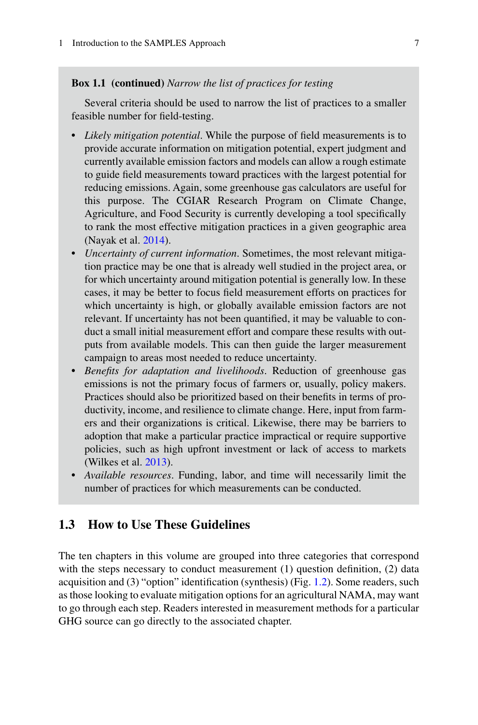#### **Box 1.1 (continued)** *Narrow the list of practices for testing*

 Several criteria should be used to narrow the list of practices to a smaller feasible number for field-testing.

- Likely mitigation potential. While the purpose of field measurements is to provide accurate information on mitigation potential, expert judgment and currently available emission factors and models can allow a rough estimate to guide field measurements toward practices with the largest potential for reducing emissions. Again, some greenhouse gas calculators are useful for this purpose. The CGIAR Research Program on Climate Change, Agriculture, and Food Security is currently developing a tool specifically to rank the most effective mitigation practices in a given geographic area (Nayak et al. 2014).
- *Uncertainty of current information* . Sometimes, the most relevant mitigation practice may be one that is already well studied in the project area, or for which uncertainty around mitigation potential is generally low. In these cases, it may be better to focus field measurement efforts on practices for which uncertainty is high, or globally available emission factors are not relevant. If uncertainty has not been quantified, it may be valuable to conduct a small initial measurement effort and compare these results with outputs from available models. This can then guide the larger measurement campaign to areas most needed to reduce uncertainty.
- *Benefits for adaptation and livelihoods*. Reduction of greenhouse gas emissions is not the primary focus of farmers or, usually, policy makers. Practices should also be prioritized based on their benefits in terms of productivity, income, and resilience to climate change. Here, input from farmers and their organizations is critical. Likewise, there may be barriers to adoption that make a particular practice impractical or require supportive policies, such as high upfront investment or lack of access to markets (Wilkes et al. [2013](#page-12-4)).
- *Available resources* . Funding, labor, and time will necessarily limit the number of practices for which measurements can be conducted.

## **1.3 How to Use These Guidelines**

 The ten chapters in this volume are grouped into three categories that correspond with the steps necessary to conduct measurement  $(1)$  question definition,  $(2)$  data acquisition and  $(3)$  "option" identification (synthesis) (Fig. 1.2). Some readers, such as those looking to evaluate mitigation options for an agricultural NAMA, may want to go through each step. Readers interested in measurement methods for a particular GHG source can go directly to the associated chapter.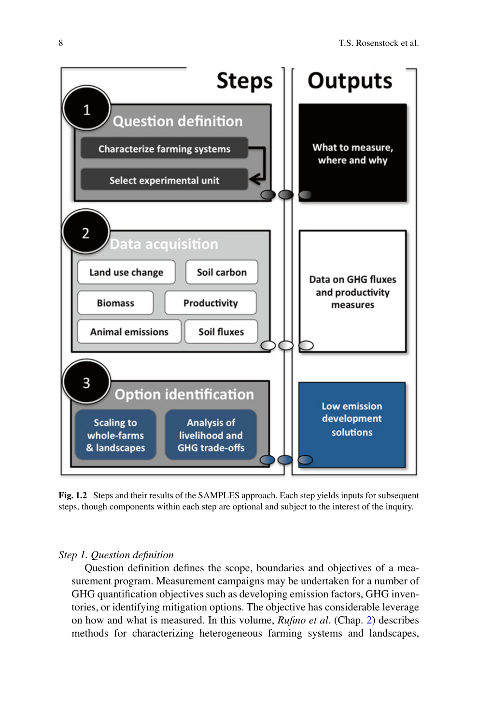<span id="page-7-0"></span>

 **Fig. 1.2** Steps and their results of the SAMPLES approach. Each step yields inputs for subsequent steps, though components within each step are optional and subject to the interest of the inquiry.

#### *Step 1. Question definition*

Question definition defines the scope, boundaries and objectives of a measurement program. Measurement campaigns may be undertaken for a number of GHG quantification objectives such as developing emission factors, GHG inventories, or identifying mitigation options. The objective has considerable leverage on how and what is measured. In this volume, *Rufino et al.* (Chap. [2](http://dx.doi.org/10.1007/978-3-319-29794-1_2)) describes methods for characterizing heterogeneous farming systems and landscapes,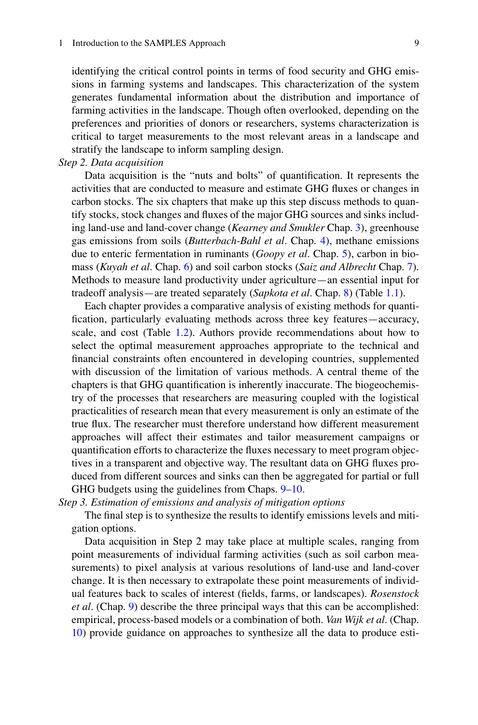identifying the critical control points in terms of food security and GHG emissions in farming systems and landscapes. This characterization of the system generates fundamental information about the distribution and importance of farming activities in the landscape. Though often overlooked, depending on the preferences and priorities of donors or researchers, systems characterization is critical to target measurements to the most relevant areas in a landscape and stratify the landscape to inform sampling design.

#### *Step 2. Data acquisition*

Data acquisition is the "nuts and bolts" of quantification. It represents the activities that are conducted to measure and estimate GHG fluxes or changes in carbon stocks. The six chapters that make up this step discuss methods to quantify stocks, stock changes and fluxes of the major GHG sources and sinks including land-use and land-cover change ( *Kearney and Smukler* Chap. [3\)](http://dx.doi.org/10.1007/978-3-319-29794-1_3), greenhouse gas emissions from soils ( *Butterbach-Bahl et al* . Chap. [4\)](http://dx.doi.org/10.1007/978-3-319-29794-1_4), methane emissions due to enteric fermentation in ruminants (*Goopy et al.* Chap. [5\)](http://dx.doi.org/10.1007/978-3-319-29794-1_5), carbon in biomass (*Kuyah et al. Chap. [6](http://dx.doi.org/10.1007/978-3-319-29794-1_6)*) and soil carbon stocks (*Saiz and Albrecht Chap. 7*). Methods to measure land productivity under agriculture—an essential input for tradeoff analysis—are treated separately ( *Sapkota et al* . Chap. [8](http://dx.doi.org/10.1007/978-3-319-29794-1_8)) (Table [1.1](#page-9-0) ).

 Each chapter provides a comparative analysis of existing methods for quantification, particularly evaluating methods across three key features—accuracy, scale, and cost (Table  $1.2$ ). Authors provide recommendations about how to select the optimal measurement approaches appropriate to the technical and financial constraints often encountered in developing countries, supplemented with discussion of the limitation of various methods. A central theme of the chapters is that GHG quantification is inherently inaccurate. The biogeochemistry of the processes that researchers are measuring coupled with the logistical practicalities of research mean that every measurement is only an estimate of the true flux. The researcher must therefore understand how different measurement approaches will affect their estimates and tailor measurement campaigns or quantification efforts to characterize the fluxes necessary to meet program objectives in a transparent and objective way. The resultant data on GHG fluxes produced from different sources and sinks can then be aggregated for partial or full GHG budgets using the guidelines from Chaps. [9](http://dx.doi.org/10.1007/978-3-319-29794-1_9)[–10](http://dx.doi.org/10.1007/978-3-319-29794-1_10).

*Step 3. Estimation of emissions and analysis of mitigation options*

The final step is to synthesize the results to identify emissions levels and mitigation options.

 Data acquisition in Step 2 may take place at multiple scales, ranging from point measurements of individual farming activities (such as soil carbon measurements) to pixel analysis at various resolutions of land-use and land-cover change. It is then necessary to extrapolate these point measurements of individual features back to scales of interest (fields, farms, or landscapes). *Rosenstock et al* . (Chap. [9](http://dx.doi.org/10.1007/978-3-319-29794-1_9)) describe the three principal ways that this can be accomplished: empirical, process-based models or a combination of both. *Van Wijk et al* . (Chap.  [10\)](http://dx.doi.org/10.1007/978-3-319-29794-1_10) provide guidance on approaches to synthesize all the data to produce esti-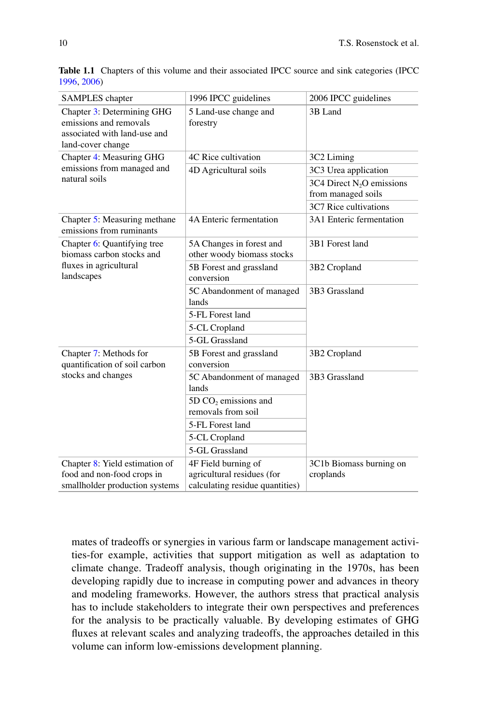| SAMPLES chapter                                                   | 1996 IPCC guidelines              | 2006 IPCC guidelines                 |  |
|-------------------------------------------------------------------|-----------------------------------|--------------------------------------|--|
|                                                                   |                                   |                                      |  |
| Chapter 3: Determining GHG<br>emissions and removals              | 5 Land-use change and<br>forestry | 3B Land                              |  |
| associated with land-use and                                      |                                   |                                      |  |
| land-cover change                                                 |                                   |                                      |  |
| Chapter 4: Measuring GHG                                          | 4C Rice cultivation               | 3C2 Liming                           |  |
| emissions from managed and<br>natural soils                       | 4D Agricultural soils             | 3C3 Urea application                 |  |
|                                                                   |                                   | 3C4 Direct $N_2O$ emissions          |  |
|                                                                   |                                   | from managed soils                   |  |
|                                                                   |                                   | 3C7 Rice cultivations                |  |
| Chapter 5: Measuring methane                                      | 4A Enteric fermentation           | 3A1 Enteric fermentation             |  |
| emissions from ruminants                                          |                                   |                                      |  |
| Chapter 6: Quantifying tree                                       | 5A Changes in forest and          | 3B1 Forest land                      |  |
| biomass carbon stocks and<br>fluxes in agricultural<br>landscapes | other woody biomass stocks        |                                      |  |
|                                                                   | 5B Forest and grassland           | 3B2 Cropland                         |  |
|                                                                   | conversion                        |                                      |  |
|                                                                   | 5C Abandonment of managed         | 3B3 Grassland                        |  |
|                                                                   | lands                             |                                      |  |
|                                                                   | 5-FL Forest land                  |                                      |  |
|                                                                   | 5-CL Cropland                     |                                      |  |
|                                                                   | 5-GL Grassland                    |                                      |  |
| Chapter 7: Methods for                                            | 5B Forest and grassland           | 3B2 Cropland                         |  |
| quantification of soil carbon                                     | conversion                        |                                      |  |
| stocks and changes                                                | 5C Abandonment of managed         | 3B3 Grassland                        |  |
|                                                                   | lands                             |                                      |  |
|                                                                   | $5D CO2$ emissions and            |                                      |  |
|                                                                   | removals from soil                |                                      |  |
|                                                                   | 5-FL Forest land                  |                                      |  |
|                                                                   | 5-CL Cropland                     |                                      |  |
|                                                                   | 5-GL Grassland                    |                                      |  |
| Chapter 8: Yield estimation of                                    | 4F Field burning of               | 3C1b Biomass burning on<br>croplands |  |
| food and non-food crops in                                        | agricultural residues (for        |                                      |  |
| smallholder production systems                                    | calculating residue quantities)   |                                      |  |

<span id="page-9-0"></span>**Table 1.1** Chapters of this volume and their associated IPCC source and sink categories (IPCC) 1996, [2006](#page-11-15))

mates of tradeoffs or synergies in various farm or landscape management activities-for example, activities that support mitigation as well as adaptation to climate change. Tradeoff analysis, though originating in the 1970s, has been developing rapidly due to increase in computing power and advances in theory and modeling frameworks. However, the authors stress that practical analysis has to include stakeholders to integrate their own perspectives and preferences for the analysis to be practically valuable. By developing estimates of GHG fluxes at relevant scales and analyzing tradeoffs, the approaches detailed in this volume can inform low-emissions development planning.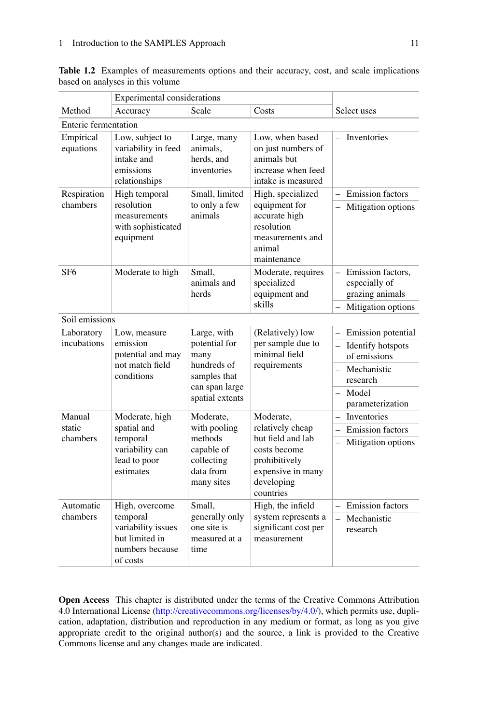|                              | Experimental considerations                                                                       |                                                                                                          |                                                                                                                                     |                                                                                                         |  |
|------------------------------|---------------------------------------------------------------------------------------------------|----------------------------------------------------------------------------------------------------------|-------------------------------------------------------------------------------------------------------------------------------------|---------------------------------------------------------------------------------------------------------|--|
| Method                       | Accuracy                                                                                          | Scale                                                                                                    | Costs                                                                                                                               | Select uses                                                                                             |  |
| <b>Enteric fermentation</b>  |                                                                                                   |                                                                                                          |                                                                                                                                     |                                                                                                         |  |
| Empirical<br>equations       | Low, subject to<br>variability in feed<br>intake and<br>emissions<br>relationships                | Large, many<br>animals,<br>herds, and<br>inventories                                                     | Low, when based<br>on just numbers of<br>animals but<br>increase when feed<br>intake is measured                                    | - Inventories                                                                                           |  |
| Respiration<br>chambers      | High temporal<br>resolution<br>measurements<br>with sophisticated<br>equipment                    | Small, limited<br>to only a few<br>animals                                                               | High, specialized<br>equipment for<br>accurate high<br>resolution<br>measurements and<br>animal<br>maintenance                      | <b>Emission factors</b><br>Mitigation options                                                           |  |
| SF <sub>6</sub>              | Moderate to high                                                                                  | Small.<br>animals and<br>herds                                                                           | Moderate, requires<br>specialized<br>equipment and<br>skills                                                                        | Emission factors,<br>$\overline{\phantom{0}}$<br>especially of<br>grazing animals<br>Mitigation options |  |
| Soil emissions               |                                                                                                   |                                                                                                          |                                                                                                                                     |                                                                                                         |  |
| Laboratory<br>incubations    | Low, measure<br>emission<br>potential and may<br>not match field<br>conditions                    | Large, with<br>potential for<br>many<br>hundreds of<br>samples that<br>can span large<br>spatial extents | (Relatively) low<br>per sample due to<br>minimal field<br>requirements                                                              | - Emission potential<br>- Identify hotspots<br>of emissions<br>- Mechanistic<br>research                |  |
|                              |                                                                                                   |                                                                                                          |                                                                                                                                     | Model<br>$\equiv$<br>parameterization                                                                   |  |
| Manual<br>static<br>chambers | Moderate, high<br>spatial and<br>temporal<br>variability can<br>lead to poor<br>estimates         | Moderate,<br>with pooling<br>methods<br>capable of<br>collecting<br>data from<br>many sites              | Moderate,<br>relatively cheap<br>but field and lab<br>costs become<br>prohibitively<br>expensive in many<br>developing<br>countries | <b>Inventories</b><br>$-$<br><b>Emission factors</b><br>Mitigation options<br>$-$                       |  |
| Automatic<br>chambers        | High, overcome<br>temporal<br>variability issues<br>but limited in<br>numbers because<br>of costs | Small.<br>generally only<br>one site is<br>measured at a<br>time                                         | High, the infield<br>system represents a<br>significant cost per<br>measurement                                                     | <b>Emission factors</b><br>$\overline{\phantom{0}}$<br>Mechanistic<br>$-$<br>research                   |  |

<span id="page-10-0"></span> **Table 1.2** Examples of measurements options and their accuracy, cost, and scale implications based on analyses in this volume

**Open Access** This chapter is distributed under the terms of the Creative Commons Attribution 4.0 International License [\(http://creativecommons.org/licenses/by/4.0/](http://creativecommons.org/licenses/by/4.0/)), which permits use, duplication, adaptation, distribution and reproduction in any medium or format, as long as you give appropriate credit to the original author(s) and the source, a link is provided to the Creative Commons license and any changes made are indicated.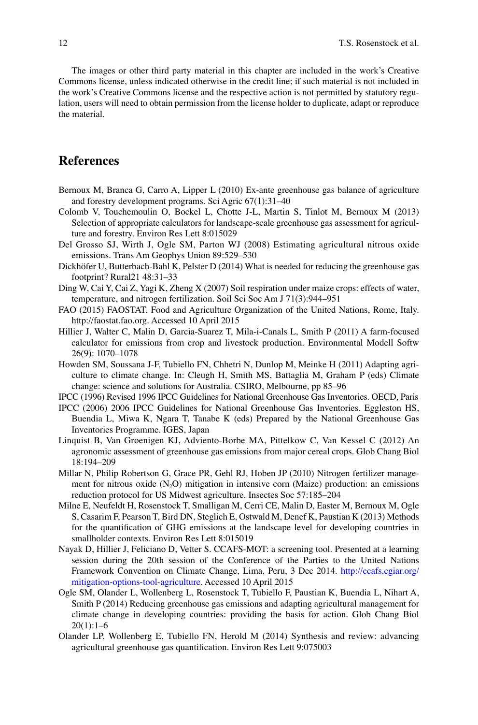The images or other third party material in this chapter are included in the work's Creative Commons license, unless indicated otherwise in the credit line; if such material is not included in the work's Creative Commons license and the respective action is not permitted by statutory regulation, users will need to obtain permission from the license holder to duplicate, adapt or reproduce the material.

## **References**

- <span id="page-11-8"></span> Bernoux M, Branca G, Carro A, Lipper L (2010) Ex-ante greenhouse gas balance of agriculture and forestry development programs. Sci Agric 67(1):31–40
- <span id="page-11-11"></span> Colomb V, Touchemoulin O, Bockel L, Chotte J-L, Martin S, Tinlot M, Bernoux M (2013) Selection of appropriate calculators for landscape-scale greenhouse gas assessment for agriculture and forestry. Environ Res Lett 8:015029
- <span id="page-11-6"></span> Del Grosso SJ, Wirth J, Ogle SM, Parton WJ (2008) Estimating agricultural nitrous oxide emissions. Trans Am Geophys Union 89:529–530
- <span id="page-11-3"></span> Dickhöfer U, Butterbach-Bahl K, Pelster D (2014) What is needed for reducing the greenhouse gas footprint? Rural21 48:31–33
- <span id="page-11-2"></span> Ding W, Cai Y, Cai Z, Yagi K, Zheng X (2007) Soil respiration under maize crops: effects of water, temperature, and nitrogen fertilization. Soil Sci Soc Am J 71(3):944–951
- <span id="page-11-10"></span> FAO (2015) FAOSTAT. Food and Agriculture Organization of the United Nations, Rome, Italy. http://faostat.fao.org. Accessed 10 April 2015
- <span id="page-11-9"></span> Hillier J, Walter C, Malin D, Garcia-Suarez T, Mila-i-Canals L, Smith P (2011) A farm-focused calculator for emissions from crop and livestock production. Environmental Modell Softw 26(9): 1070–1078
- <span id="page-11-12"></span> Howden SM, Soussana J-F, Tubiello FN, Chhetri N, Dunlop M, Meinke H (2011) Adapting agriculture to climate change. In: Cleugh H, Smith MS, Battaglia M, Graham P (eds) Climate change: science and solutions for Australia. CSIRO, Melbourne, pp 85–96
- <span id="page-11-14"></span>IPCC (1996) Revised 1996 IPCC Guidelines for National Greenhouse Gas Inventories. OECD, Paris
- <span id="page-11-15"></span> IPCC (2006) 2006 IPCC Guidelines for National Greenhouse Gas Inventories. Eggleston HS, Buendia L, Miwa K, Ngara T, Tanabe K (eds) Prepared by the National Greenhouse Gas Inventories Programme. IGES, Japan
- <span id="page-11-1"></span> Linquist B, Van Groenigen KJ, Adviento-Borbe MA, Pittelkow C, Van Kessel C (2012) An agronomic assessment of greenhouse gas emissions from major cereal crops. Glob Chang Biol 18:194–209
- <span id="page-11-7"></span> Millar N, Philip Robertson G, Grace PR, Gehl RJ, Hoben JP (2010) Nitrogen fertilizer management for nitrous oxide  $(N_2O)$  mitigation in intensive corn (Maize) production: an emissions reduction protocol for US Midwest agriculture. Insectes Soc 57:185–204
- <span id="page-11-5"></span> Milne E, Neufeldt H, Rosenstock T, Smalligan M, Cerri CE, Malin D, Easter M, Bernoux M, Ogle S, Casarim F, Pearson T, Bird DN, Steglich E, Ostwald M, Denef K, Paustian K (2013) Methods for the quantification of GHG emissions at the landscape level for developing countries in smallholder contexts. Environ Res Lett 8:015019
- <span id="page-11-13"></span> Nayak D, Hillier J, Feliciano D, Vetter S. CCAFS-MOT: a screening tool. Presented at a learning session during the 20th session of the Conference of the Parties to the United Nations Framework Convention on Climate Change, Lima, Peru, 3 Dec 2014. [http://ccafs.cgiar.org/](http://ccafs.cgiar.org/mitigation-options-tool-agriculture) [mitigation-options-tool-agriculture](http://ccafs.cgiar.org/mitigation-options-tool-agriculture). Accessed 10 April 2015
- <span id="page-11-4"></span> Ogle SM, Olander L, Wollenberg L, Rosenstock T, Tubiello F, Paustian K, Buendia L, Nihart A, Smith P (2014) Reducing greenhouse gas emissions and adapting agricultural management for climate change in developing countries: providing the basis for action. Glob Chang Biol 20(1):1–6
- <span id="page-11-0"></span> Olander LP, Wollenberg E, Tubiello FN, Herold M (2014) Synthesis and review: advancing agricultural greenhouse gas quantification. Environ Res Lett 9:075003